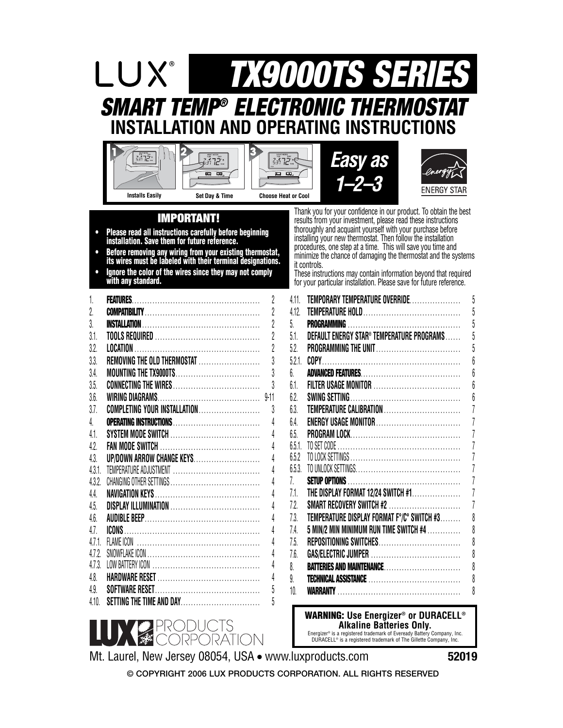# **SMART TEMP® ELECTRONIC THERMOSTAT INSTALLATION AND OPERATING INSTRUCTIONS TX9000TS SERIES**



- **Please read all instructions carefully before beginning installation. Save them for future reference.**
- **Before removing any wiring from your existing thermostat, its wires must be labeled with their terminal designations.**
- **• Ignore the color of the wires since they may not comply with any standard.**

| 1.     |                              | $\overline{2}$ |
|--------|------------------------------|----------------|
| 2.     |                              | $\overline{2}$ |
| 3.     |                              | $\overline{2}$ |
| 31     |                              | $\overline{2}$ |
| 3.2.   |                              | $\overline{2}$ |
| 3.3.   | REMOVING THE OLD THERMOSTAT  | 3              |
| 3.4.   |                              | 3              |
| 3.5.   |                              | 3              |
| 3.6.   |                              | $9 - 11$       |
| 3.7.   | COMPLETING YOUR INSTALLATION | 3              |
| 4.     |                              | 4              |
| 41.    |                              | 4              |
| 4.2.   |                              | 4              |
| 4.3.   | UP/DOWN ARROW CHANGE KEYS    | 4              |
| 4.3.1  |                              | 4              |
| 4.3.2. |                              | $\overline{4}$ |
| 44.    |                              | 4              |
| 4.5.   |                              | 4              |
| 4.6.   |                              | 4              |
| 4.7.   |                              | 4              |
| 4.7.1  |                              | $\overline{4}$ |
| 472    |                              | 4              |
| 4.7.3. |                              | 4              |
| 4.8.   |                              | $\overline{4}$ |
| 4.9.   |                              | 5              |
| 4.10.  | SETTING THE TIME AND DAY     | 5              |

**IMPORTANT!** Thank you for your confidence in our product. To obtain the best<br>results from your investment, please read these instructions results from your investment, please read these instructions thoroughly and acquaint yourself with your purchase before installing your new thermostat. Then follow the installation procedures, one step at a time. This will save you time and minimize the chance of damaging the thermostat and the systems it controls.

**ENERGY STAR** 

These instructions may contain information beyond that required for your particular installation. Please save for future reference.

| 4.11.  | TEMPORARY TEMPERATURE OVERRIDE             | 5              |
|--------|--------------------------------------------|----------------|
| 4.12.  |                                            | 5              |
| 5.     |                                            | 5              |
| 5.1.   | DEFAULT ENERGY STAR® TEMPERATURE PROGRAMS  | 5              |
| 5.2.   |                                            | 5              |
| 5.2.1. |                                            | 6              |
| 6.     |                                            | 6              |
| 6.1.   |                                            | 6              |
| 6.2.   |                                            | 6              |
| 6.3.   | TEMPERATURE CALIBRATION                    | 7              |
| 6.4.   | ENERGY USAGE MONITOR                       | 7              |
| 6.5.   |                                            | 7              |
| 6.5.1  |                                            | $\overline{1}$ |
| 6.5.2  |                                            | 7              |
| 6.5.3. |                                            | $\overline{1}$ |
| 7.     |                                            | 7              |
| 7.1.   | THE DISPLAY FORMAT 12/24 SWITCH #1         | 7              |
| 7.2.   | SMART RECOVERY SWITCH #2                   | 7              |
| 7.3.   | TEMPERATURE DISPLAY FORMAT F°/C° SWITCH #3 | 8              |
| 7.4.   | 5 MIN/2 MIN MINIMUM RUN TIME SWITCH #4     | 8              |
| 7.5.   | REPOSITIONING SWITCHES                     | 8              |
| 7.6.   |                                            | 8              |
| 8.     | BATTERIES AND MAINTENANCE                  | 8              |
| 9.     |                                            | 8              |
| 10.    |                                            | 8              |

**WARNING: Use Energizer® or DURACELL® Alkaline Batteries Only.**

Energizer® is a registered trademark of Eveready Battery Company, Inc. DURACELL® is a registered trademark of The Gillette Company, Inc.



**52019**

**© COPYRIGHT 2006 LUX PRODUCTS CORPORATION. ALL RIGHTS RESERVED**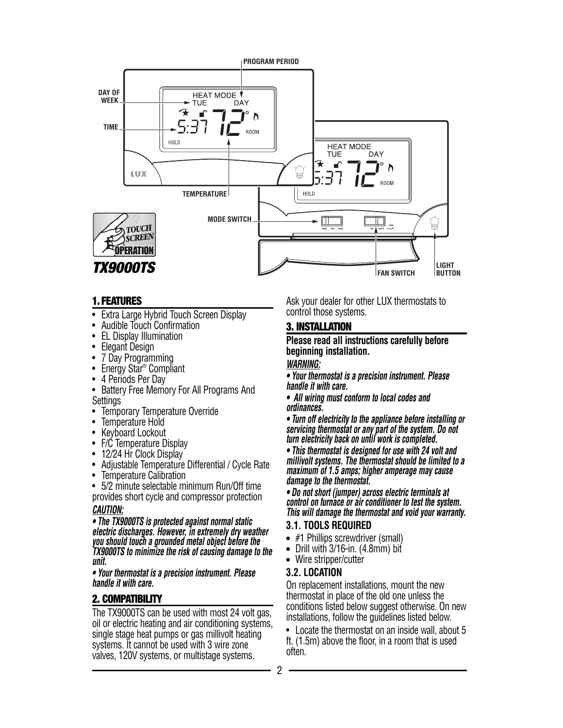

### **1. FEATURES**

- Extra Large Hybrid Touch Screen Display
- Audible Touch Confirmation
- EL Display Illumination
- Elegant Design
- 7 Day Programming
- Energy Star<sup>®</sup> Compliant
- 4 Periods Per Day
- Battery Free Memory For All Programs And **Settings**
- Temporary Temperature Override
- Temperature Hold
- Keyboard Lockout
- F/C Temperature Display
- 12/24 Hr Clock Display
- Adjustable Temperature Differential / Cycle Rate
- Temperature Calibration
- 5/2 minute selectable minimum Run/Off time
- provides short cycle and compressor protection **CAUTION:**

**• The TX9000TS is protected against normal static electric discharges. However, in extremely dry weather you should touch a grounded metal object before the TX9000TS to minimize the risk of causing damage to the unit.**

**• Your thermostat is a precision instrument. Please handle it with care.**

# **2. COMPATIBILITY**

The TX9000TS can be used with most 24 volt gas, oil or electric heating and air conditioning systems, single stage heat pumps or gas millivolt heating systems. It cannot be used with 3 wire zone valves, 120V systems, or multistage systems.

Ask your dealer for other LUX thermostats to control those systems.

# **3. INSTALLATION**

#### **Please read all instructions carefully before beginning installation.**

#### **WARNING:**

**• Your thermostat is a precision instrument. Please handle it with care.**

**• All wiring must conform to local codes and ordinances.**

**• Turn off electricity to the appliance before installing or servicing thermostat or any part of the system. Do not turn electricity back on until work is completed.**

**• This thermostat is designed for use with 24 volt and millivolt systems. The thermostat should be limited to a maximum of 1.5 amps; higher amperage may cause damage to the thermostat.**

**• Do not short (jumper) across electric terminals at control on furnace or air conditioner to test the system. This will damage the thermostat and void your warranty.**

# **3.1. TOOLS REQUIRED**

- #1 Phillips screwdriver (small)
- $\bullet$  Drill with 3/16-in. (4.8mm) bit
- Wire stripper/cutter

# **3.2. LOCATION**

On replacement installations, mount the new thermostat in place of the old one unless the conditions listed below suggest otherwise. On new installations, follow the guidelines listed below.

• Locate the thermostat on an inside wall, about 5 ft. (1.5m) above the floor, in a room that is used often.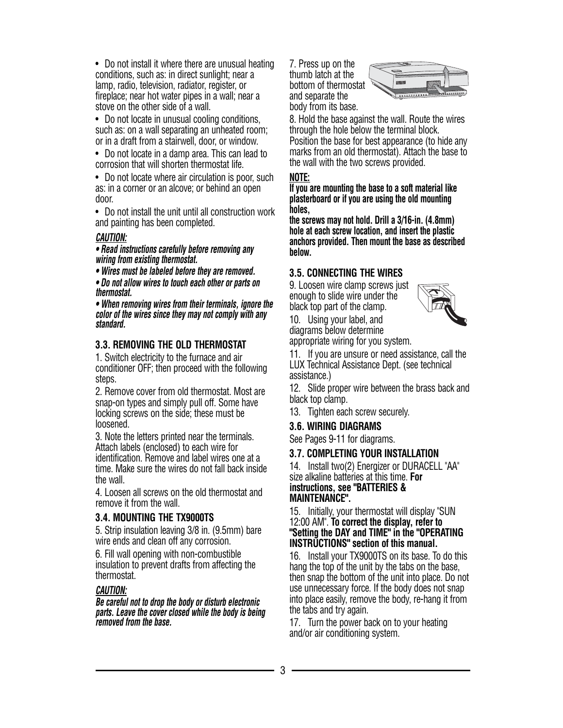• Do not install it where there are unusual heating conditions, such as: in direct sunlight; near a lamp, radio, television, radiator, register, or fireplace; near hot water pipes in a wall; near a stove on the other side of a wall.

• Do not locate in unusual cooling conditions, such as: on a wall separating an unheated room; or in a draft from a stairwell, door, or window.

• Do not locate in a damp area. This can lead to corrosion that will shorten thermostat life.

• Do not locate where air circulation is poor, such as: in a corner or an alcove; or behind an open door.

• Do not install the unit until all construction work and painting has been completed.

### **CAUTION:**

**• Read instructions carefully before removing any wiring from existing thermostat.**

**• Wires must be labeled before they are removed.**

**• Do not allow wires to touch each other or parts on thermostat.**

**• When removing wires from their terminals, ignore the color of the wires since they may not comply with any standard.**

# **3.3. REMOVING THE OLD THERMOSTAT**

1. Switch electricity to the furnace and air conditioner OFF; then proceed with the following steps.

2. Remove cover from old thermostat. Most are snap-on types and simply pull off. Some have locking screws on the side; these must be loosened.

3. Note the letters printed near the terminals. Attach labels (enclosed) to each wire for identification. Remove and label wires one at a time. Make sure the wires do not fall back inside the wall.

4. Loosen all screws on the old thermostat and remove it from the wall.

#### **3.4. MOUNTING THE TX9000TS**

5. Strip insulation leaving 3/8 in. (9.5mm) bare wire ends and clean off any corrosion.

6. Fill wall opening with non-combustible insulation to prevent drafts from affecting the thermostat.

#### **CAUTION:**

**Be careful not to drop the body or disturb electronic parts. Leave the cover closed while the body is being removed from the base.**

7. Press up on the thumb latch at the bottom of thermostat and separate the body from its base.



8. Hold the base against the wall. Route the wires through the hole below the terminal block. Position the base for best appearance (to hide any marks from an old thermostat). Attach the base to the wall with the two screws provided.

### **NOTE:**

**If you are mounting the base to a soft material like plasterboard or if you are using the old mounting holes,**

**the screws may not hold. Drill a 3/16-in. (4.8mm) hole at each screw location, and insert the plastic anchors provided. Then mount the base as described below.**

# **3.5. CONNECTING THE WIRES**

9. Loosen wire clamp screws just enough to slide wire under the black top part of the clamp.



10. Using your label, and diagrams below determine

appropriate wiring for you system.

11. If you are unsure or need assistance, call the LUX Technical Assistance Dept. (see technical assistance.)

12. Slide proper wire between the brass back and black top clamp.

13. Tighten each screw securely.

#### **3.6. WIRING DIAGRAMS**

See Pages 9-11 for diagrams.

#### **3.7. COMPLETING YOUR INSTALLATION**

14. Install two(2) Energizer or DURACELL "AA" size alkaline batteries at this time. **For instructions, see "BATTERIES &**

# **MAINTENANCE".**

#### 15. Initially, your thermostat will display "SUN 12:00 AM". **To correct the display, refer to "Setting the DAY and TIME" in the "OPERATING INSTRUCTIONS" section of this manual.**

16. Install your TX9000TS on its base. To do this hang the top of the unit by the tabs on the base, then snap the bottom of the unit into place. Do not use unnecessary force. If the body does not snap into place easily, remove the body, re-hang it from the tabs and try again.

17. Turn the power back on to your heating and/or air conditioning system.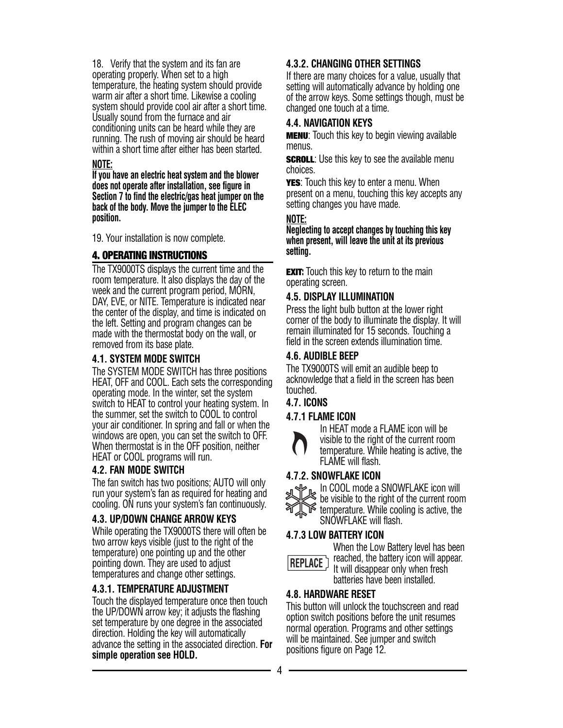18. Verify that the system and its fan are operating properly. When set to a high temperature, the heating system should provide warm air after a short time. Likewise a cooling system should provide cool air after a short time. Usually sound from the furnace and air conditioning units can be heard while they are running. The rush of moving air should be heard within a short time after either has been started.

#### **NOTE:**

**If you have an electric heat system and the blower does not operate after installation, see figure in Section 7 to find the electric/gas heat jumper on the back of the body. Move the jumper to the ELEC position.**

19. Your installation is now complete.

# **4. OPERATING INSTRUCTIONS**

The TX9000TS displays the current time and the room temperature. It also displays the day of the week and the current program period, MORN, DAY, EVE, or NITE. Temperature is indicated near the center of the display, and time is indicated on the left. Setting and program changes can be made with the thermostat body on the wall, or removed from its base plate.

# **4.1. SYSTEM MODE SWITCH**

The SYSTEM MODE SWITCH has three positions HEAT, OFF and COOL. Each sets the corresponding operating mode. In the winter, set the system switch to HEAT to control your heating system. In the summer, set the switch to COOL to control your air conditioner. In spring and fall or when the windows are open, you can set the switch to OFF. When thermostat is in the OFF position, neither HEAT or COOL programs will run.

# **4.2. FAN MODE SWITCH**

The fan switch has two positions; AUTO will only run your system's fan as required for heating and cooling. ON runs your system's fan continuously.

# **4.3. UP/DOWN CHANGE ARROW KEYS**

While operating the TX9000TS there will often be two arrow keys visible (just to the right of the temperature) one pointing up and the other pointing down. They are used to adjust temperatures and change other settings.

# **4.3.1. TEMPERATURE ADJUSTMENT**

Touch the displayed temperature once then touch the UP/DOWN arrow key; it adjusts the flashing set temperature by one degree in the associated direction. Holding the key will automatically advance the setting in the associated direction. **For simple operation see HOLD.**

# **4.3.2. CHANGING OTHER SETTINGS**

If there are many choices for a value, usually that setting will automatically advance by holding one of the arrow keys. Some settings though, must be changed one touch at a time.

# **4.4. NAVIGATION KEYS**

**MENU**: Touch this key to begin viewing available menus.

**SCROLL:** Use this key to see the available menu choices.

**YES**: Touch this key to enter a menu. When present on a menu, touching this key accepts any setting changes you have made.

# **NOTE:**

**Neglecting to accept changes by touching this key when present, will leave the unit at its previous setting.**

**EXIT:** Touch this key to return to the main operating screen.

# **4.5. DISPLAY ILLUMINATION**

Press the light bulb button at the lower right corner of the body to illuminate the display. It will remain illuminated for 15 seconds. Touching a field in the screen extends illumination time.

# **4.6. AUDIBLE BEEP**

The TX9000TS will emit an audible beep to acknowledge that a field in the screen has been touched.

# **4.7. ICONS**

# **4.7.1 FLAME ICON**



In HEAT mode a FLAME icon will be visible to the right of the current room temperature. While heating is active, the FLAME will flash.

# **4.7.2. SNOWFLAKE ICON**



In COOL mode a SNOWFLAKE icon will be visible to the right of the current room temperature. While cooling is active, the SNOWFLAKE will flash.

# **4.7.3 LOW BATTERY ICON**



When the Low Battery level has been reached, the battery icon will appear. It will disappear only when fresh batteries have been installed.

# **4.8. HARDWARE RESET**

This button will unlock the touchscreen and read option switch positions before the unit resumes normal operation. Programs and other settings will be maintained. See jumper and switch positions figure on Page 12.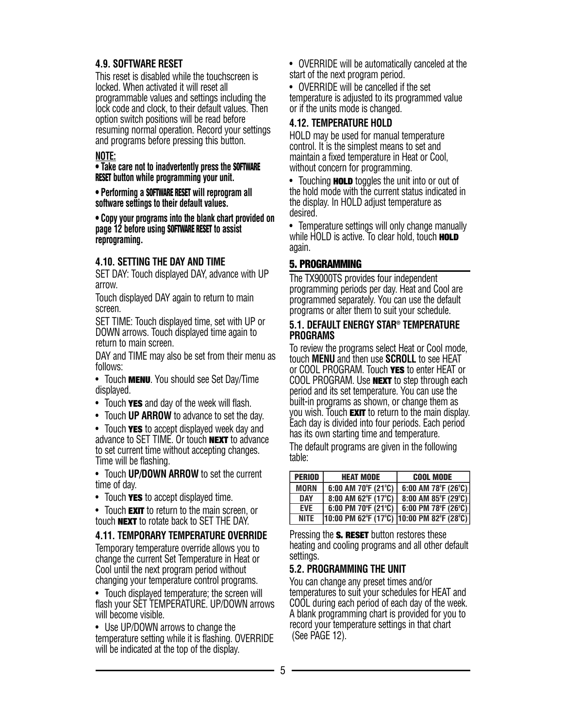# **4.9. SOFTWARE RESET**

This reset is disabled while the touchscreen is locked. When activated it will reset all programmable values and settings including the lock code and clock, to their default values. Then option switch positions will be read before resuming normal operation. Record your settings and programs before pressing this button.

#### **NOTE:**

**• Take care not to inadvertently press the SOFTWARE RESET button while programming your unit.**

**• Performing a SOFTWARE RESET will reprogram all software settings to their default values.**

**• Copy your programs into the blank chart provided on page 12 before using SOFTWARE RESET to assist reprograming.**

### **4.10. SETTING THE DAY AND TIME**

SET DAY: Touch displayed DAY, advance with UP arrow.

Touch displayed DAY again to return to main screen.

SET TIME: Touch displayed time, set with UP or DOWN arrows. Touch displayed time again to return to main screen.

DAY and TIME may also be set from their menu as follows:

• Touch **MENU**. You should see Set Day/Time displayed.

- Touch **YES** and day of the week will flash.
- Touch **UP ARROW** to advance to set the day.

• Touch **YES** to accept displayed week day and advance to SET TIME. Or touch **NEXT** to advance to set current time without accepting changes. Time will be flashing.

• Touch **UP/DOWN ARROW** to set the current time of day.

• Touch **YES** to accept displayed time.

• Touch **EXIT** to return to the main screen, or touch **NEXT** to rotate back to SET THE DAY.

#### **4.11. TEMPORARY TEMPERATURE OVERRIDE**

Temporary temperature override allows you to change the current Set Temperature in Heat or Cool until the next program period without changing your temperature control programs.

• Touch displayed temperature; the screen will flash your SET TEMPERATURE. UP/DOWN arrows will become visible.

• Use UP/DOWN arrows to change the temperature setting while it is flashing. OVERRIDE will be indicated at the top of the display.

• OVERRIDE will be automatically canceled at the start of the next program period.

• OVERRIDE will be cancelled if the set temperature is adjusted to its programmed value or if the units mode is changed.

# **4.12. TEMPERATURE HOLD**

HOLD may be used for manual temperature control. It is the simplest means to set and maintain a fixed temperature in Heat or Cool, without concern for programming.

• Touching **HOLD** toggles the unit into or out of the hold mode with the current status indicated in the display. In HOLD adjust temperature as desired.

• Temperature settings will only change manually while HOLD is active. To clear hold, touch **HOLD** again.

# **5. PROGRAMMING**

The TX9000TS provides four independent programming periods per day. Heat and Cool are programmed separately. You can use the default programs or alter them to suit your schedule.

#### **5.1. DEFAULT ENERGY STAR® TEMPERATURE PROGRAMS**

To review the programs select Heat or Cool mode, touch **MENU** and then use **SCROLL** to see HEAT or COOL PROGRAM. Touch **YES** to enter HEAT or COOL PROGRAM. Use **NEXT** to step through each period and its set temperature. You can use the built-in programs as shown, or change them as you wish. Touch **EXIT** to return to the main display. Each day is divided into four periods. Each period has its own starting time and temperature.

The default programs are given in the following table:

| <b>PERIOD</b> | <b>HEAT MODE</b>                            | <b>COOL MODE</b>    |
|---------------|---------------------------------------------|---------------------|
| <b>MORN</b>   | 6:00 AM 70 $\degree$ F (21 $\degree$ C)     | 6:00 AM 78°F (26°C) |
| <b>DAY</b>    | 8:00 AM 62°F (17°C)                         | 8:00 AM 85°F (29°C) |
| <b>FVF</b>    | 6:00 PM 70 $\degree$ F (21 $\degree$ C)     | 6:00 PM 78°F (26°C) |
| <b>NITE</b>   | $10:00$ PM 62°F (17°C) 10:00 PM 82°F (28°C) |                     |

Pressing the **S. RESET** button restores these heating and cooling programs and all other default settings.

# **5.2. PROGRAMMING THE UNIT**

You can change any preset times and/or temperatures to suit your schedules for HEAT and COOL during each period of each day of the week. A blank programming chart is provided for you to record your temperature settings in that chart (See PAGE 12).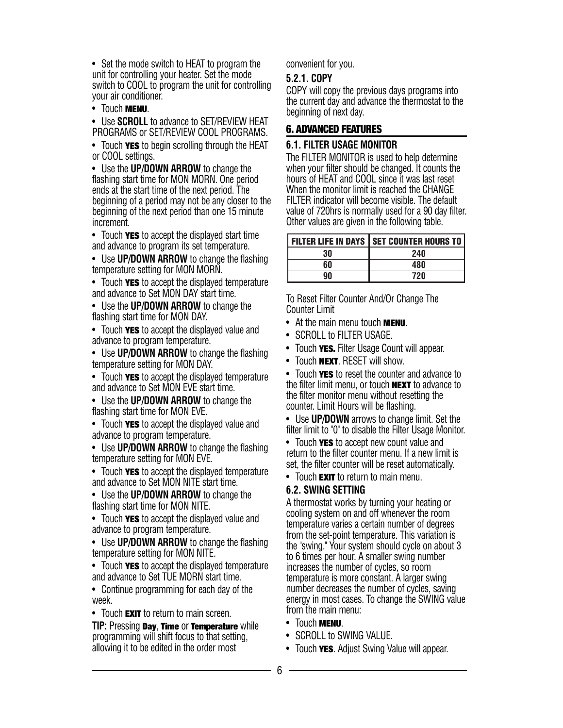• Set the mode switch to HEAT to program the unit for controlling your heater. Set the mode switch to COOL to program the unit for controlling your air conditioner.

• Touch **MENU**.

• Use **SCROLL** to advance to SET/REVIEW HEAT PROGRAMS or SET/REVIEW COOL PROGRAMS.

• Touch **YES** to begin scrolling through the HEAT or COOL settings.

• Use the **UP/DOWN ARROW** to change the flashing start time for MON MORN. One period ends at the start time of the next period. The beginning of a period may not be any closer to the beginning of the next period than one 15 minute increment.

• Touch **YES** to accept the displayed start time and advance to program its set temperature.

• Use **UP/DOWN ARROW** to change the flashing temperature setting for MON MORN.

• Touch **YES** to accept the displayed temperature and advance to Set MON DAY start time.

• Use the **UP/DOWN ARROW** to change the flashing start time for MON DAY.

• Touch **YES** to accept the displayed value and advance to program temperature.

• Use **UP/DOWN ARROW** to change the flashing temperature setting for MON DAY.

• Touch **YES** to accept the displayed temperature and advance to Set MON EVE start time.

• Use the **UP/DOWN ARROW** to change the flashing start time for MON EVE.

• Touch **YES** to accept the displayed value and advance to program temperature.

• Use **UP/DOWN ARROW** to change the flashing temperature setting for MON EVE.

• Touch **YES** to accept the displayed temperature and advance to Set MON NITE start time.

• Use the **UP/DOWN ARROW** to change the flashing start time for MON NITE.

• Touch **YES** to accept the displayed value and advance to program temperature.

• Use **UP/DOWN ARROW** to change the flashing temperature setting for MON NITE.

• Touch **YES** to accept the displayed temperature and advance to Set TUE MORN start time.

• Continue programming for each day of the week.

• Touch **EXIT** to return to main screen.

**TIP:** Pressing **Day**, **Time** or **Temperature** while programming will shift focus to that setting, allowing it to be edited in the order most

convenient for you.

#### **5.2.1. COPY**

COPY will copy the previous days programs into the current day and advance the thermostat to the beginning of next day.

#### **6. ADVANCED FEATURES**

#### **6.1. FILTER USAGE MONITOR**

The FILTER MONITOR is used to help determine when your filter should be changed. It counts the hours of HEAT and COOL since it was last reset When the monitor limit is reached the CHANGE FILTER indicator will become visible. The default value of 720hrs is normally used for a 90 day filter. Other values are given in the following table.

|    | <b>FILTER LIFE IN DAYS   SET COUNTER HOURS TO  </b> |
|----|-----------------------------------------------------|
| 30 | 240                                                 |
| 60 | 480                                                 |
| qN | 720                                                 |

To Reset Filter Counter And/Or Change The Counter Limit

- At the main menu touch **MENU**.
- SCROLL to FILTER USAGE.
- Touch **YES.** Filter Usage Count will appear.
- Touch **NEXT**. RESET will show.

• Touch **YES** to reset the counter and advance to the filter limit menu, or touch **NEXT** to advance to the filter monitor menu without resetting the counter. Limit Hours will be flashing.

• Use **UP/DOWN** arrows to change limit. Set the filter limit to "0" to disable the Filter Usage Monitor.

• Touch **YES** to accept new count value and return to the filter counter menu. If a new limit is set, the filter counter will be reset automatically.

• Touch **EXIT** to return to main menu.

# **6.2. SWING SETTING**

A thermostat works by turning your heating or cooling system on and off whenever the room temperature varies a certain number of degrees from the set-point temperature. This variation is the "swing." Your system should cycle on about 3 to 6 times per hour. A smaller swing number increases the number of cycles, so room temperature is more constant. A larger swing number decreases the number of cycles, saving energy in most cases. To change the SWING value from the main menu:

- Touch **MENU**.
- SCROLL to SWING VALUE.
- Touch **YES**. Adjust Swing Value will appear.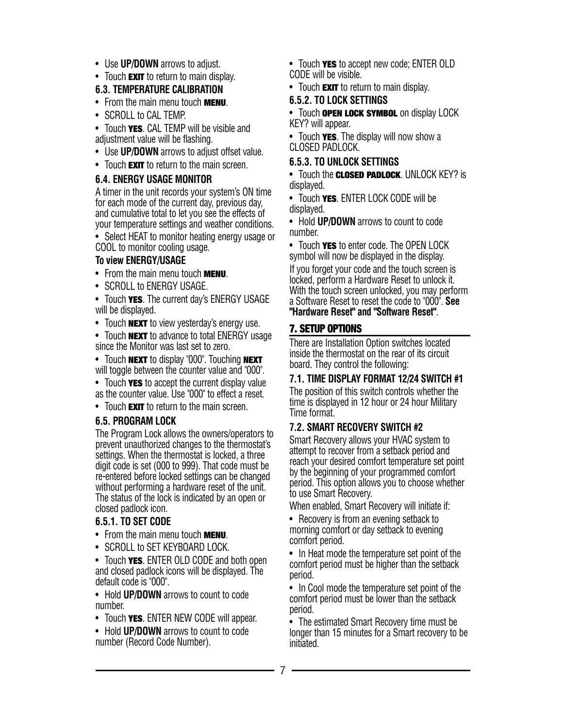- Use **UP/DOWN** arrows to adjust.
- Touch **EXIT** to return to main display.

# **6.3. TEMPERATURE CALIBRATION**

- From the main menu touch **MENU**.
- SCROLL to CAL TEMP.
- Touch **YES**. CAL TEMP will be visible and adjustment value will be flashing.
- Use **UP/DOWN** arrows to adjust offset value.
- Touch **EXIT** to return to the main screen.

# **6.4. ENERGY USAGE MONITOR**

A timer in the unit records your system's ON time for each mode of the current day, previous day, and cumulative total to let you see the effects of your temperature settings and weather conditions.

• Select HEAT to monitor heating energy usage or COOL to monitor cooling usage.

# **To view ENERGY/USAGE**

- From the main menu touch **MENU**.
- SCROLL to ENERGY USAGE.

• Touch **YES**. The current day's ENERGY USAGE will be displayed.

• Touch **NEXT** to view yesterday's energy use.

• Touch **NEXT** to advance to total ENERGY usage since the Monitor was last set to zero.

• Touch **NEXT** to display "000". Touching **NEXT** will toggle between the counter value and "000".

• Touch **YES** to accept the current display value as the counter value. Use "000" to effect a reset.

• Touch **EXIT** to return to the main screen.

# **6.5. PROGRAM LOCK**

The Program Lock allows the owners/operators to prevent unauthorized changes to the thermostat's settings. When the thermostat is locked, a three digit code is set (000 to 999). That code must be re-entered before locked settings can be changed without performing a hardware reset of the unit. The status of the lock is indicated by an open or closed padlock icon.

# **6.5.1. TO SET CODE**

- From the main menu touch **MENU**.
- SCROLL to SET KEYBOARD LOCK.

• Touch **YES**. ENTER OLD CODE and both open and closed padlock icons will be displayed. The default code is "000".

• Hold **UP/DOWN** arrows to count to code number.

• Touch **YES**. ENTER NEW CODE will appear.

• Hold **UP/DOWN** arrows to count to code number (Record Code Number).

- Touch **YES** to accept new code; ENTER OLD CODE will be visible.
- Touch **EXIT** to return to main display.

# **6.5.2. TO LOCK SETTINGS**

• Touch **OPEN LOCK SYMBOL** on display LOCK KEY? will appear.

• Touch **YES**. The display will now show a CLOSED PADLOCK.

# **6.5.3. TO UNLOCK SETTINGS**

• Touch the **CLOSED PADLOCK**. UNLOCK KEY? is displayed.

• Touch **YES**. ENTER LOCK CODE will be displayed.

• Hold **UP/DOWN** arrows to count to code number.

• Touch **YES** to enter code. The OPEN LOCK symbol will now be displayed in the display.

If you forget your code and the touch screen is locked, perform a Hardware Reset to unlock it. With the touch screen unlocked, you may perform a Software Reset to reset the code to "000". **See "Hardware Reset" and "Software Reset"**.

# **7. SETUP OPTIONS**

There are Installation Option switches located inside the thermostat on the rear of its circuit board. They control the following:

# **7.1. TIME DISPLAY FORMAT 12/24 SWITCH #1**

The position of this switch controls whether the time is displayed in 12 hour or 24 hour Military Time format.

# **7.2. SMART RECOVERY SWITCH #2**

Smart Recovery allows your HVAC system to attempt to recover from a setback period and reach your desired comfort temperature set point by the beginning of your programmed comfort period. This option allows you to choose whether to use Smart Recovery.

When enabled, Smart Recovery will initiate if:

• Recovery is from an evening setback to morning comfort or day setback to evening comfort period.

• In Heat mode the temperature set point of the comfort period must be higher than the setback period.

• In Cool mode the temperature set point of the comfort period must be lower than the setback period.

• The estimated Smart Recovery time must be longer than 15 minutes for a Smart recovery to be initiated.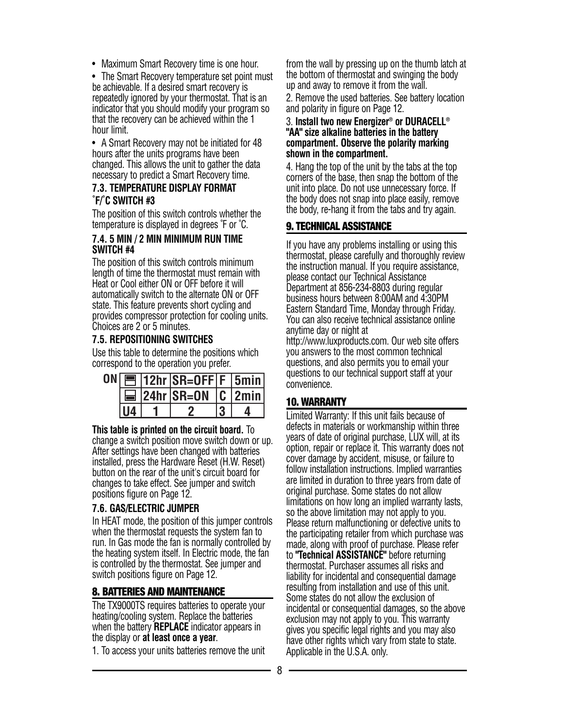• Maximum Smart Recovery time is one hour.

• The Smart Recovery temperature set point must be achievable. If a desired smart recovery is repeatedly ignored by your thermostat. That is an indicator that you should modify your program so that the recovery can be achieved within the 1 hour limit.

• A Smart Recovery may not be initiated for 48 hours after the units programs have been changed. This allows the unit to gather the data necessary to predict a Smart Recovery time.

#### **7.3. TEMPERATURE DISPLAY FORMAT ˚F/˚C SWITCH #3**

The position of this switch controls whether the temperature is displayed in degrees ˚F or ˚C.

### **7.4. 5 MIN / 2 MIN MINIMUM RUN TIME SWITCH #4**

The position of this switch controls minimum length of time the thermostat must remain with Heat or Cool either ON or OFF before it will automatically switch to the alternate ON or OFF state. This feature prevents short cycling and provides compressor protection for cooling units. Choices are 2 or 5 minutes.

# **7.5. REPOSITIONING SWITCHES**

Use this table to determine the positions which correspond to the operation you prefer.

|    | $ON$ $\boxed{=}$   12hr   SR=OFF   F   5min |  |
|----|---------------------------------------------|--|
|    | $\equiv$ 24hr SR=0N C 2min                  |  |
| U4 |                                             |  |

**This table is printed on the circuit board.** To change a switch position move switch down or up. After settings have been changed with batteries installed, press the Hardware Reset (H.W. Reset) button on the rear of the unit's circuit board for changes to take effect. See jumper and switch positions figure on Page 12.

# **7.6. GAS/ELECTRIC JUMPER**

In HEAT mode, the position of this jumper controls when the thermostat requests the system fan to run. In Gas mode the fan is normally controlled by the heating system itself. In Electric mode, the fan is controlled by the thermostat. See jumper and switch positions figure on Page 12.

# **8. BATTERIES AND MAINTENANCE**

The TX9000TS requires batteries to operate your heating/cooling system. Replace the batteries when the battery **REPLACE** indicator appears in the display or **at least once a year**.

1. To access your units batteries remove the unit

from the wall by pressing up on the thumb latch at the bottom of thermostat and swinging the body up and away to remove it from the wall.

2. Remove the used batteries. See battery location and polarity in figure on Page 12.

#### 3. **Install two new Energizer® or DURACELL® "AA" size alkaline batteries in the battery compartment. Observe the polarity marking shown in the compartment.**

4. Hang the top of the unit by the tabs at the top corners of the base, then snap the bottom of the unit into place. Do not use unnecessary force. If the body does not snap into place easily, remove the body, re-hang it from the tabs and try again.

# **9. TECHNICAL ASSISTANCE**

If you have any problems installing or using this thermostat, please carefully and thoroughly review the instruction manual. If you require assistance, please contact our Technical Assistance Department at 856-234-8803 during regular business hours between 8:00AM and 4:30PM Eastern Standard Time, Monday through Friday. You can also receive technical assistance online anytime day or night at

http://www.luxproducts.com. Our web site offers you answers to the most common technical questions, and also permits you to email your questions to our technical support staff at your convenience.

# **10. WARRANTY**

Limited Warranty: If this unit fails because of defects in materials or workmanship within three years of date of original purchase, LUX will, at its option, repair or replace it. This warranty does not cover damage by accident, misuse, or failure to follow installation instructions. Implied warranties are limited in duration to three years from date of original purchase. Some states do not allow limitations on how long an implied warranty lasts, so the above limitation may not apply to you. Please return malfunctioning or defective units to the participating retailer from which purchase was made, along with proof of purchase. Please refer to **"Technical ASSISTANCE"** before returning thermostat. Purchaser assumes all risks and liability for incidental and consequential damage resulting from installation and use of this unit. Some states do not allow the exclusion of incidental or consequential damages, so the above exclusion may not apply to you. This warranty gives you specific legal rights and you may also have other rights which vary from state to state. Applicable in the U.S.A. only.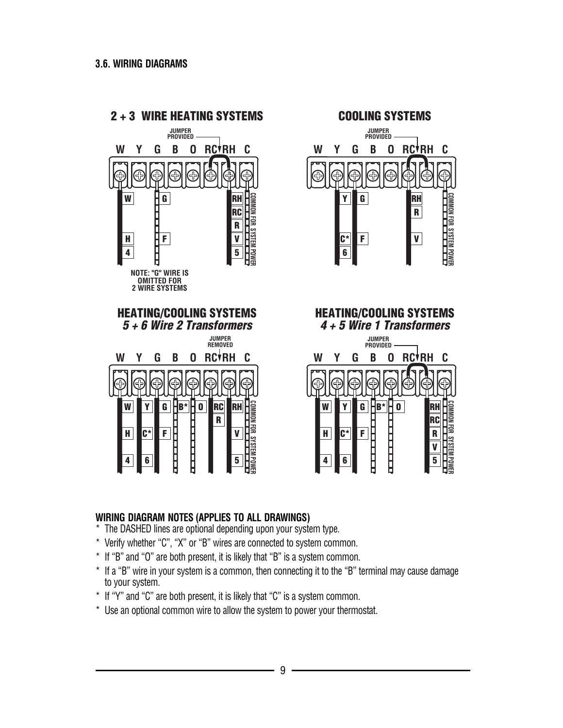

# **WIRING DIAGRAM NOTES (APPLIES TO ALL DRAWINGS)**

- \* The DASHED lines are optional depending upon your system type.
- \* Verify whether "C", "X" or "B" wires are connected to system common.
- \* If "B" and "O" are both present, it is likely that "B" is a system common.
- \* If a "B" wire in your system is a common, then connecting it to the "B" terminal may cause damage to your system.
- \* If "Y" and "C" are both present, it is likely that "C" is a system common.
- \* Use an optional common wire to allow the system to power your thermostat.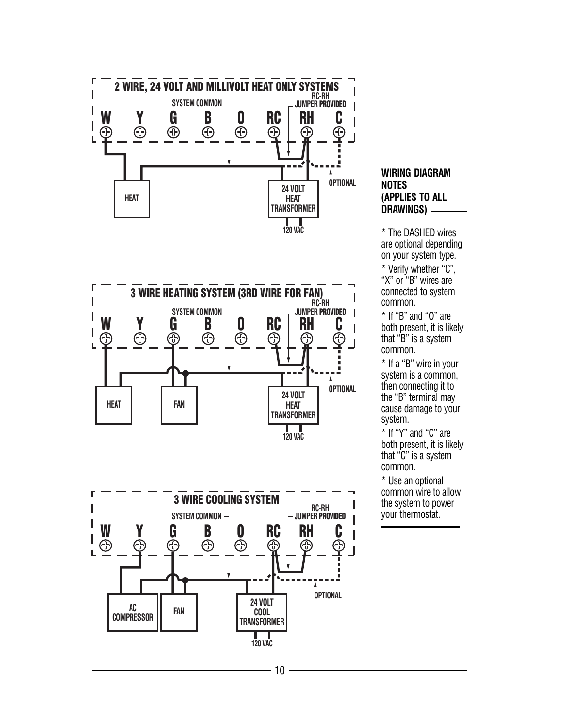





#### **WIRING DIAGRAM NOTES (APPLIES TO ALL DRAWINGS)**

\* The DASHED wires are optional depending on your system type. \* Verify whether "C", "X" or "B" wires are connected to system common.

\* If "B" and "O" are both present, it is likely that "B" is a system common.

\* If a "B" wire in your system is a common, then connecting it to the "B" terminal may cause damage to your system.

\* If "Y" and "C" are both present, it is likely that "C" is a system common.

\* Use an optional common wire to allow the system to power your thermostat.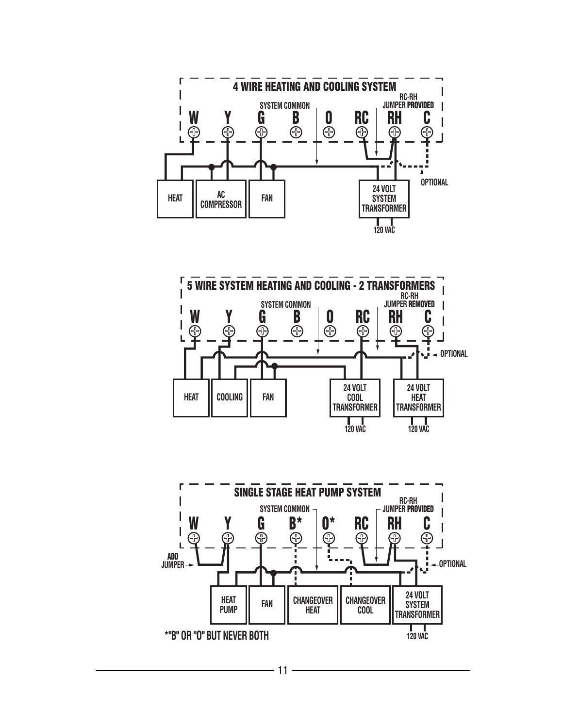